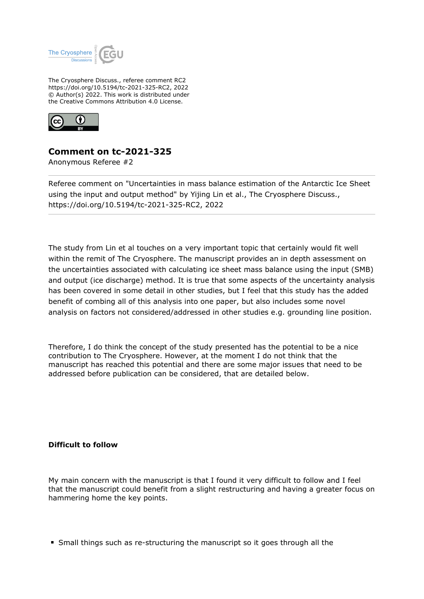

The Cryosphere Discuss., referee comment RC2 https://doi.org/10.5194/tc-2021-325-RC2, 2022 © Author(s) 2022. This work is distributed under the Creative Commons Attribution 4.0 License.



## **Comment on tc-2021-325**

Anonymous Referee #2

Referee comment on "Uncertainties in mass balance estimation of the Antarctic Ice Sheet using the input and output method" by Yijing Lin et al., The Cryosphere Discuss., https://doi.org/10.5194/tc-2021-325-RC2, 2022

The study from Lin et al touches on a very important topic that certainly would fit well within the remit of The Cryosphere. The manuscript provides an in depth assessment on the uncertainties associated with calculating ice sheet mass balance using the input (SMB) and output (ice discharge) method. It is true that some aspects of the uncertainty analysis has been covered in some detail in other studies, but I feel that this study has the added benefit of combing all of this analysis into one paper, but also includes some novel analysis on factors not considered/addressed in other studies e.g. grounding line position.

Therefore, I do think the concept of the study presented has the potential to be a nice contribution to The Cryosphere. However, at the moment I do not think that the manuscript has reached this potential and there are some major issues that need to be addressed before publication can be considered, that are detailed below.

## **Difficult to follow**

My main concern with the manuscript is that I found it very difficult to follow and I feel that the manuscript could benefit from a slight restructuring and having a greater focus on hammering home the key points.

Small things such as re-structuring the manuscript so it goes through all the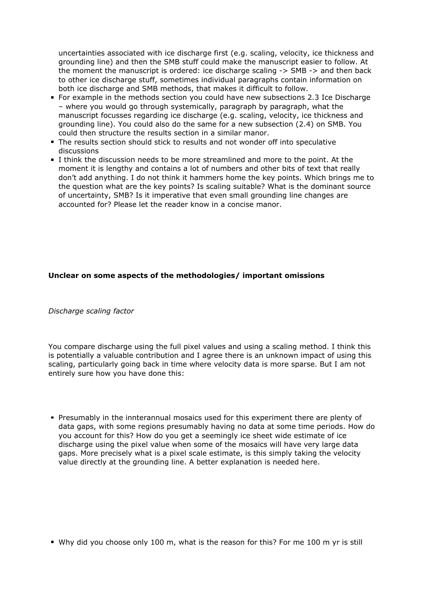uncertainties associated with ice discharge first (e.g. scaling, velocity, ice thickness and grounding line) and then the SMB stuff could make the manuscript easier to follow. At the moment the manuscript is ordered: ice discharge scaling -> SMB -> and then back to other ice discharge stuff, sometimes individual paragraphs contain information on both ice discharge and SMB methods, that makes it difficult to follow.

- For example in the methods section you could have new subsections 2.3 Ice Discharge – where you would go through systemically, paragraph by paragraph, what the manuscript focusses regarding ice discharge (e.g. scaling, velocity, ice thickness and grounding line). You could also do the same for a new subsection (2.4) on SMB. You could then structure the results section in a similar manor.
- The results section should stick to results and not wonder off into speculative discussions
- I think the discussion needs to be more streamlined and more to the point. At the moment it is lengthy and contains a lot of numbers and other bits of text that really don't add anything. I do not think it hammers home the key points. Which brings me to the question what are the key points? Is scaling suitable? What is the dominant source of uncertainty, SMB? Is it imperative that even small grounding line changes are accounted for? Please let the reader know in a concise manor.

## **Unclear on some aspects of the methodologies/ important omissions**

*Discharge scaling factor*

You compare discharge using the full pixel values and using a scaling method. I think this is potentially a valuable contribution and I agree there is an unknown impact of using this scaling, particularly going back in time where velocity data is more sparse. But I am not entirely sure how you have done this:

Presumably in the innterannual mosaics used for this experiment there are plenty of data gaps, with some regions presumably having no data at some time periods. How do you account for this? How do you get a seemingly ice sheet wide estimate of ice discharge using the pixel value when some of the mosaics will have very large data gaps. More precisely what is a pixel scale estimate, is this simply taking the velocity value directly at the grounding line. A better explanation is needed here.

Why did you choose only 100 m, what is the reason for this? For me 100 m yr is still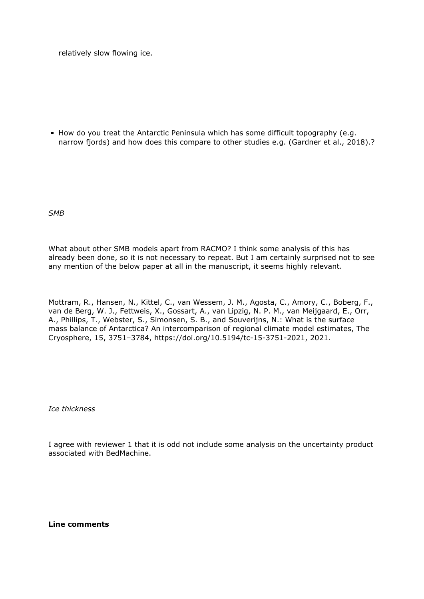relatively slow flowing ice.

How do you treat the Antarctic Peninsula which has some difficult topography (e.g. narrow fjords) and how does this compare to other studies e.g. (Gardner et al., 2018).?

*SMB*

What about other SMB models apart from RACMO? I think some analysis of this has already been done, so it is not necessary to repeat. But I am certainly surprised not to see any mention of the below paper at all in the manuscript, it seems highly relevant.

Mottram, R., Hansen, N., Kittel, C., van Wessem, J. M., Agosta, C., Amory, C., Boberg, F., van de Berg, W. J., Fettweis, X., Gossart, A., van Lipzig, N. P. M., van Meijgaard, E., Orr, A., Phillips, T., Webster, S., Simonsen, S. B., and Souverijns, N.: What is the surface mass balance of Antarctica? An intercomparison of regional climate model estimates, The Cryosphere, 15, 3751–3784, https://doi.org/10.5194/tc-15-3751-2021, 2021.

*Ice thickness*

I agree with reviewer 1 that it is odd not include some analysis on the uncertainty product associated with BedMachine.

**Line comments**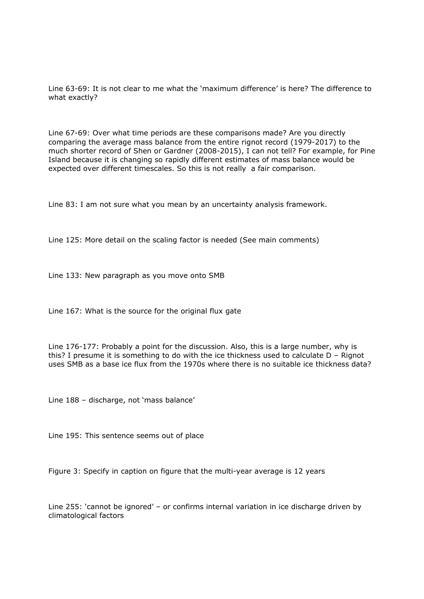Line 63-69: It is not clear to me what the 'maximum difference' is here? The difference to what exactly?

Line 67-69: Over what time periods are these comparisons made? Are you directly comparing the average mass balance from the entire rignot record (1979-2017) to the much shorter record of Shen or Gardner (2008-2015), I can not tell? For example, for Pine Island because it is changing so rapidly different estimates of mass balance would be expected over different timescales. So this is not really a fair comparison.

Line 83: I am not sure what you mean by an uncertainty analysis framework.

Line 125: More detail on the scaling factor is needed (See main comments)

Line 133: New paragraph as you move onto SMB

Line 167: What is the source for the original flux gate

Line 176-177: Probably a point for the discussion. Also, this is a large number, why is this? I presume it is something to do with the ice thickness used to calculate D – Rignot uses SMB as a base ice flux from the 1970s where there is no suitable ice thickness data?

Line 188 – discharge, not 'mass balance'

Line 195: This sentence seems out of place

Figure 3: Specify in caption on figure that the multi-year average is 12 years

Line 255: 'cannot be ignored' – or confirms internal variation in ice discharge driven by climatological factors